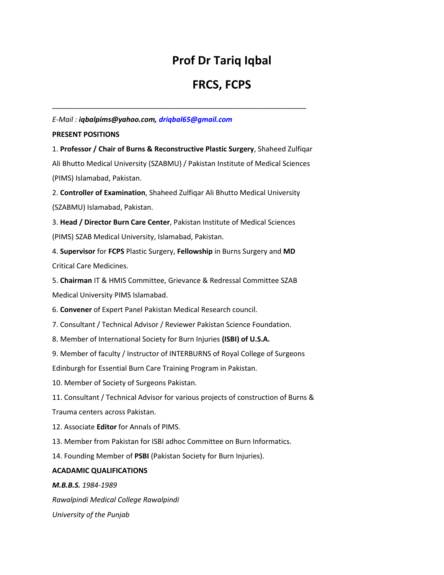## **Prof Dr Tariq Iqbal**

# **FRCS, FCPS**

## *E-Mail : iqbalpims@yahoo.com, driqbal65@gmail.com*

## **PRESENT POSITIONS**

1. **Professor / Chair of Burns & Reconstructive Plastic Surgery**, Shaheed Zulfiqar Ali Bhutto Medical University (SZABMU) / Pakistan Institute of Medical Sciences (PIMS) Islamabad, Pakistan.

\_\_\_\_\_\_\_\_\_\_\_\_\_\_\_\_\_\_\_\_\_\_\_\_\_\_\_\_\_\_\_\_\_\_\_\_\_\_\_\_\_\_\_\_\_\_\_\_\_\_\_\_\_\_\_\_\_\_\_\_\_\_\_\_

2. **Controller of Examination**, Shaheed Zulfiqar Ali Bhutto Medical University (SZABMU) Islamabad, Pakistan.

3. **Head / Director Burn Care Center**, Pakistan Institute of Medical Sciences (PIMS) SZAB Medical University, Islamabad, Pakistan.

4. **Supervisor** for **FCPS** Plastic Surgery, **Fellowship** in Burns Surgery and **MD** Critical Care Medicines.

5. **Chairman** IT & HMIS Committee, Grievance & Redressal Committee SZAB Medical University PIMS Islamabad.

6. **Convener** of Expert Panel Pakistan Medical Research council.

7. Consultant / Technical Advisor / Reviewer Pakistan Science Foundation.

8. Member of International Society for Burn Injuries **(ISBI) of U.S.A.**

9. Member of faculty / Instructor of INTERBURNS of Royal College of Surgeons

Edinburgh for Essential Burn Care Training Program in Pakistan.

10. Member of Society of Surgeons Pakistan.

11. Consultant / Technical Advisor for various projects of construction of Burns &

Trauma centers across Pakistan.

12. Associate **Editor** for Annals of PIMS.

13. Member from Pakistan for ISBI adhoc Committee on Burn Informatics.

14. Founding Member of **PSBI** (Pakistan Society for Burn Injuries).

## **ACADAMIC QUALIFICATIONS**

*M.B.B.S. 1984-1989*

*Rawalpindi Medical College Rawalpindi*

*University of the Punjab*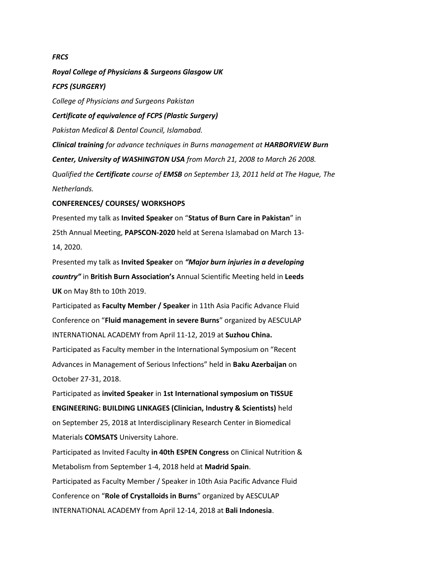#### *FRCS*

*Royal College of Physicians & Surgeons Glasgow UK FCPS (SURGERY) College of Physicians and Surgeons Pakistan Certificate of equivalence of FCPS (Plastic Surgery) Pakistan Medical & Dental Council, Islamabad. Clinical training for advance techniques in Burns management at HARBORVIEW Burn Center, University of WASHINGTON USA from March 21, 2008 to March 26 2008. Qualified the Certificate course of EMSB on September 13, 2011 held at The Hague, The Netherlands.*

### **CONFERENCES/ COURSES/ WORKSHOPS**

Presented my talk as **Invited Speaker** on "**Status of Burn Care in Pakistan**" in 25th Annual Meeting, **PAPSCON-2020** held at Serena Islamabad on March 13- 14, 2020.

Presented my talk as **Invited Speaker** on *"Major burn injuries in a developing country"* in **British Burn Association's** Annual Scientific Meeting held in **Leeds UK** on May 8th to 10th 2019.

Participated as **Faculty Member / Speaker** in 11th Asia Pacific Advance Fluid Conference on "**Fluid management in severe Burns**" organized by AESCULAP INTERNATIONAL ACADEMY from April 11-12, 2019 at **Suzhou China.** Participated as Faculty member in the International Symposium on "Recent Advances in Management of Serious Infections" held in **Baku Azerbaijan** on October 27-31, 2018.

Participated as **invited Speaker** in **1st International symposium on TISSUE ENGINEERING: BUILDING LINKAGES (Clinician, Industry & Scientists)** held on September 25, 2018 at Interdisciplinary Research Center in Biomedical Materials **COMSATS** University Lahore.

Participated as Invited Faculty **in 40th ESPEN Congress** on Clinical Nutrition & Metabolism from September 1-4, 2018 held at **Madrid Spain**. Participated as Faculty Member / Speaker in 10th Asia Pacific Advance Fluid Conference on "**Role of Crystalloids in Burns**" organized by AESCULAP INTERNATIONAL ACADEMY from April 12-14, 2018 at **Bali Indonesia**.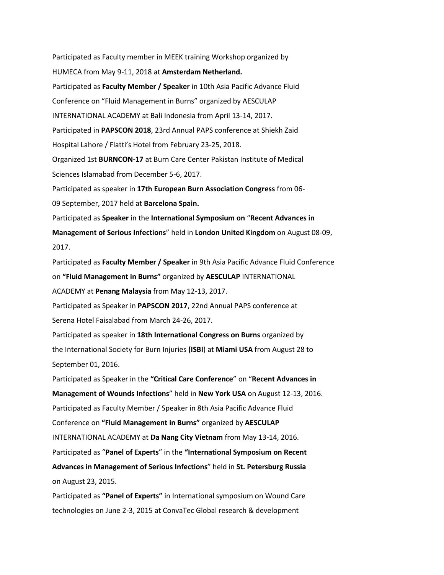Participated as Faculty member in MEEK training Workshop organized by HUMECA from May 9-11, 2018 at **Amsterdam Netherland.** Participated as **Faculty Member / Speaker** in 10th Asia Pacific Advance Fluid Conference on "Fluid Management in Burns" organized by AESCULAP INTERNATIONAL ACADEMY at Bali Indonesia from April 13-14, 2017. Participated in **PAPSCON 2018**, 23rd Annual PAPS conference at Shiekh Zaid Hospital Lahore / Flatti's Hotel from February 23-25, 2018. Organized 1st **BURNCON-17** at Burn Care Center Pakistan Institute of Medical Sciences Islamabad from December 5-6, 2017. Participated as speaker in **17th European Burn Association Congress** from 06- 09 September, 2017 held at **Barcelona Spain.** Participated as **Speaker** in the **International Symposium on** "**Recent Advances in Management of Serious Infections**" held in **London United Kingdom** on August 08-09, 2017. Participated as **Faculty Member / Speaker** in 9th Asia Pacific Advance Fluid Conference on **"Fluid Management in Burns"** organized by **AESCULAP** INTERNATIONAL ACADEMY at **Penang Malaysia** from May 12-13, 2017. Participated as Speaker in **PAPSCON 2017**, 22nd Annual PAPS conference at Serena Hotel Faisalabad from March 24-26, 2017. Participated as speaker in **18th International Congress on Burns** organized by the International Society for Burn Injuries **(ISBI**) at **Miami USA** from August 28 to September 01, 2016. Participated as Speaker in the **"Critical Care Conference**" on "**Recent Advances in Management of Wounds Infections**" held in **New York USA** on August 12-13, 2016. Participated as Faculty Member / Speaker in 8th Asia Pacific Advance Fluid Conference on **"Fluid Management in Burns"** organized by **AESCULAP** INTERNATIONAL ACADEMY at **Da Nang City Vietnam** from May 13-14, 2016. Participated as "**Panel of Experts**" in the **"International Symposium on Recent Advances in Management of Serious Infections**" held in **St. Petersburg Russia** on August 23, 2015.

Participated as **"Panel of Experts"** in International symposium on Wound Care technologies on June 2-3, 2015 at ConvaTec Global research & development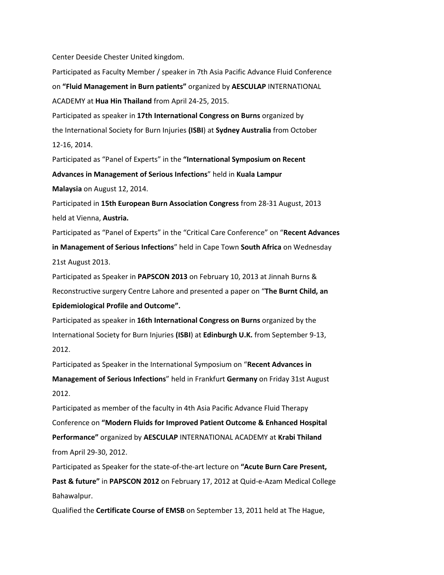Center Deeside Chester United kingdom.

Participated as Faculty Member / speaker in 7th Asia Pacific Advance Fluid Conference on **"Fluid Management in Burn patients"** organized by **AESCULAP** INTERNATIONAL ACADEMY at **Hua Hin Thailand** from April 24-25, 2015. Participated as speaker in **17th International Congress on Burns** organized by the International Society for Burn Injuries **(ISBI**) at **Sydney Australia** from October 12-16, 2014. Participated as "Panel of Experts" in the **"International Symposium on Recent Advances in Management of Serious Infections**" held in **Kuala Lampur Malaysia** on August 12, 2014. Participated in **15th European Burn Association Congress** from 28-31 August, 2013 held at Vienna, **Austria.** Participated as "Panel of Experts" in the "Critical Care Conference" on "**Recent Advances in Management of Serious Infections**" held in Cape Town **South Africa** on Wednesday 21st August 2013. Participated as Speaker in **PAPSCON 2013** on February 10, 2013 at Jinnah Burns & Reconstructive surgery Centre Lahore and presented a paper on "**The Burnt Child, an Epidemiological Profile and Outcome".** Participated as speaker in **16th International Congress on Burns** organized by the International Society for Burn Injuries **(ISBI**) at **Edinburgh U.K.** from September 9-13, 2012.

Participated as Speaker in the International Symposium on "**Recent Advances in Management of Serious Infections**" held in Frankfurt **Germany** on Friday 31st August 2012.

Participated as member of the faculty in 4th Asia Pacific Advance Fluid Therapy Conference on **"Modern Fluids for Improved Patient Outcome & Enhanced Hospital Performance"** organized by **AESCULAP** INTERNATIONAL ACADEMY at **Krabi Thiland** from April 29-30, 2012.

Participated as Speaker for the state-of-the-art lecture on **"Acute Burn Care Present,**

**Past & future"** in **PAPSCON 2012** on February 17, 2012 at Quid-e-Azam Medical College Bahawalpur.

Qualified the **Certificate Course of EMSB** on September 13, 2011 held at The Hague,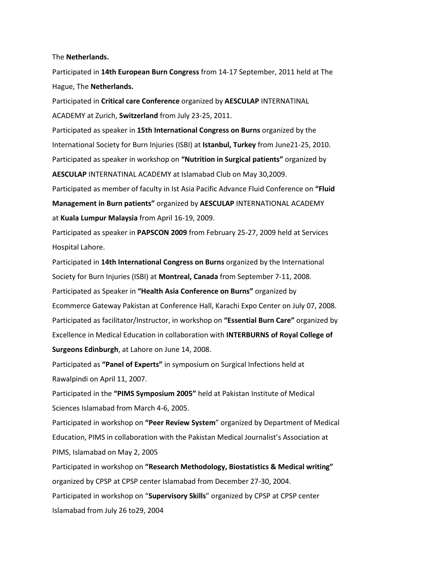The **Netherlands.**

Participated in **14th European Burn Congress** from 14-17 September, 2011 held at The Hague, The **Netherlands.**

Participated in **Critical care Conference** organized by **AESCULAP** INTERNATINAL ACADEMY at Zurich, **Switzerland** from July 23-25, 2011.

Participated as speaker in **15th International Congress on Burns** organized by the International Society for Burn Injuries (ISBI) at **Istanbul, Turkey** from June21-25, 2010. Participated as speaker in workshop on **"Nutrition in Surgical patients"** organized by **AESCULAP** INTERNATINAL ACADEMY at Islamabad Club on May 30,2009.

Participated as member of faculty in Ist Asia Pacific Advance Fluid Conference on **"Fluid Management in Burn patients"** organized by **AESCULAP** INTERNATIONAL ACADEMY at **Kuala Lumpur Malaysia** from April 16-19, 2009.

Participated as speaker in **PAPSCON 2009** from February 25-27, 2009 held at Services Hospital Lahore.

Participated in **14th International Congress on Burns** organized by the International Society for Burn Injuries (ISBI) at **Montreal, Canada** from September 7-11, 2008. Participated as Speaker in **"Health Asia Conference on Burns"** organized by Ecommerce Gateway Pakistan at Conference Hall, Karachi Expo Center on July 07, 2008. Participated as facilitator/Instructor, in workshop on **"Essential Burn Care"** organized by Excellence in Medical Education in collaboration with **INTERBURNS of Royal College of Surgeons Edinburgh**, at Lahore on June 14, 2008.

Participated as **"Panel of Experts"** in symposium on Surgical Infections held at Rawalpindi on April 11, 2007.

Participated in the **"PIMS Symposium 2005"** held at Pakistan Institute of Medical Sciences Islamabad from March 4-6, 2005.

Participated in workshop on **"Peer Review System**" organized by Department of Medical Education, PIMS in collaboration with the Pakistan Medical Journalist's Association at PIMS, Islamabad on May 2, 2005

Participated in workshop on **"Research Methodology, Biostatistics & Medical writing"** organized by CPSP at CPSP center Islamabad from December 27-30, 2004. Participated in workshop on "**Supervisory Skills**" organized by CPSP at CPSP center Islamabad from July 26 to29, 2004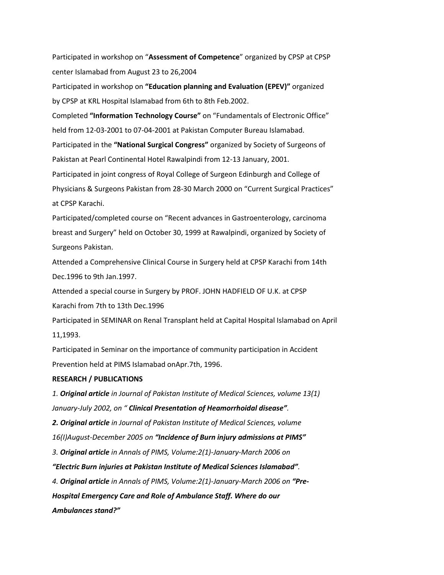Participated in workshop on "**Assessment of Competence**" organized by CPSP at CPSP center Islamabad from August 23 to 26,2004

Participated in workshop on **"Education planning and Evaluation (EPEV)"** organized by CPSP at KRL Hospital Islamabad from 6th to 8th Feb.2002.

Completed **"Information Technology Course"** on "Fundamentals of Electronic Office" held from 12-03-2001 to 07-04-2001 at Pakistan Computer Bureau Islamabad. Participated in the **"National Surgical Congress"** organized by Society of Surgeons of Pakistan at Pearl Continental Hotel Rawalpindi from 12-13 January, 2001. Participated in joint congress of Royal College of Surgeon Edinburgh and College of Physicians & Surgeons Pakistan from 28-30 March 2000 on "Current Surgical Practices"

at CPSP Karachi.

Participated/completed course on "Recent advances in Gastroenterology, carcinoma breast and Surgery" held on October 30, 1999 at Rawalpindi, organized by Society of Surgeons Pakistan.

Attended a Comprehensive Clinical Course in Surgery held at CPSP Karachi from 14th Dec.1996 to 9th Jan.1997.

Attended a special course in Surgery by PROF. JOHN HADFIELD OF U.K. at CPSP Karachi from 7th to 13th Dec.1996

Participated in SEMINAR on Renal Transplant held at Capital Hospital Islamabad on April 11,1993.

Participated in Seminar on the importance of community participation in Accident Prevention held at PIMS Islamabad onApr.7th, 1996.

### **RESEARCH / PUBLICATIONS**

*1. Original article in Journal of Pakistan Institute of Medical Sciences, volume 13(1) January-July 2002, on " Clinical Presentation of Heamorrhoidal disease". 2. Original article in Journal of Pakistan Institute of Medical Sciences, volume 16(I)August-December 2005 on "Incidence of Burn injury admissions at PIMS" 3. Original article in Annals of PIMS, Volume:2(1)-January-March 2006 on "Electric Burn injuries at Pakistan Institute of Medical Sciences Islamabad". 4. Original article in Annals of PIMS, Volume:2(1)-January-March 2006 on "Pre-Hospital Emergency Care and Role of Ambulance Staff. Where do our Ambulances stand?"*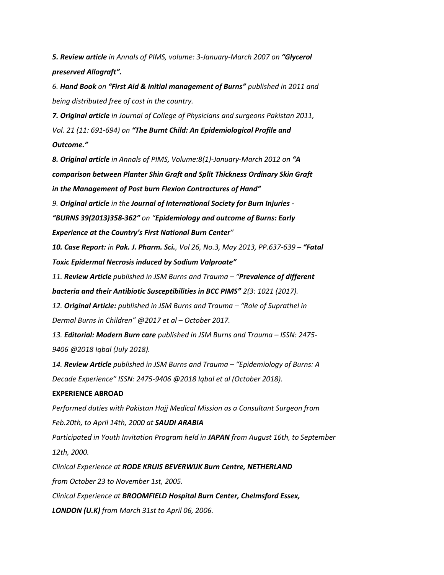*5. Review article in Annals of PIMS, volume: 3-January-March 2007 on "Glycerol preserved Allograft".*

*6. Hand Book on "First Aid & Initial management of Burns" published in 2011 and being distributed free of cost in the country.*

*7. Original article in Journal of College of Physicians and surgeons Pakistan 2011, Vol. 21 (11: 691-694) on "The Burnt Child: An Epidemiological Profile and Outcome."*

*8. Original article in Annals of PIMS, Volume:8(1)-January-March 2012 on "A comparison between Planter Shin Graft and Split Thickness Ordinary Skin Graft in the Management of Post burn Flexion Contractures of Hand"*

*9. Original article in the Journal of International Society for Burn Injuries -*

*"BURNS 39(2013)358-362" on "Epidemiology and outcome of Burns: Early Experience at the Country's First National Burn Center"*

*10. Case Report: in Pak. J. Pharm. Sci., Vol 26, No.3, May 2013, PP.637-639 – "Fatal Toxic Epidermal Necrosis induced by Sodium Valproate"*

*11. Review Article published in JSM Burns and Trauma – "Prevalence of different bacteria and their Antibiotic Susceptibilities in BCC PIMS" 2(3: 1021 (2017).*

*12. Original Article: published in JSM Burns and Trauma – "Role of Suprathel in Dermal Burns in Children" @2017 et al – October 2017.*

*13. Editorial: Modern Burn care published in JSM Burns and Trauma – ISSN: 2475- 9406 @2018 Iqbal (July 2018).*

*14. Review Article published in JSM Burns and Trauma – "Epidemiology of Burns: A Decade Experience" ISSN: 2475-9406 @2018 Iqbal et al (October 2018).*

## **EXPERIENCE ABROAD**

*Performed duties with Pakistan Hajj Medical Mission as a Consultant Surgeon from Feb.20th, to April 14th, 2000 at SAUDI ARABIA*

*Participated in Youth Invitation Program held in JAPAN from August 16th, to September 12th, 2000.*

*Clinical Experience at RODE KRUIS BEVERWIJK Burn Centre, NETHERLAND from October 23 to November 1st, 2005. Clinical Experience at BROOMFIELD Hospital Burn Center, Chelmsford Essex, LONDON (U.K) from March 31st to April 06, 2006.*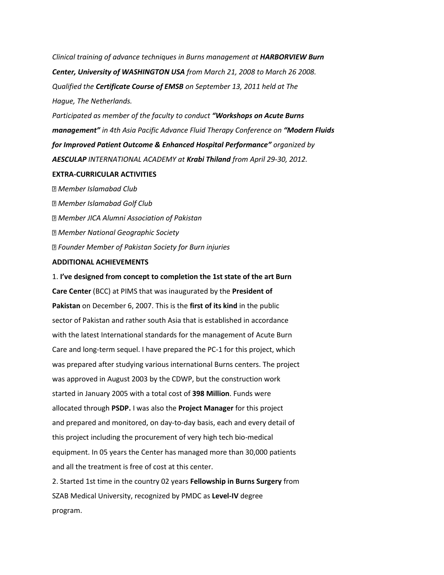*Clinical training of advance techniques in Burns management at HARBORVIEW Burn Center, University of WASHINGTON USA from March 21, 2008 to March 26 2008. Qualified the Certificate Course of EMSB on September 13, 2011 held at The Hague, The Netherlands.*

*Participated as member of the faculty to conduct "Workshops on Acute Burns management" in 4th Asia Pacific Advance Fluid Therapy Conference on "Modern Fluids for Improved Patient Outcome & Enhanced Hospital Performance" organized by AESCULAP INTERNATIONAL ACADEMY at Krabi Thiland from April 29-30, 2012.*

#### **EXTRA-CURRICULAR ACTIVITIES**

*Member Islamabad Club Member Islamabad Golf Club Member JICA Alumni Association of Pakistan Member National Geographic Society Founder Member of Pakistan Society for Burn injuries*

### **ADDITIONAL ACHIEVEMENTS**

1. **I've designed from concept to completion the 1st state of the art Burn Care Center** (BCC) at PIMS that was inaugurated by the **President of Pakistan** on December 6, 2007. This is the **first of its kind** in the public sector of Pakistan and rather south Asia that is established in accordance with the latest International standards for the management of Acute Burn Care and long-term sequel. I have prepared the PC-1 for this project, which was prepared after studying various international Burns centers. The project was approved in August 2003 by the CDWP, but the construction work started in January 2005 with a total cost of **398 Million**. Funds were allocated through **PSDP.** I was also the **Project Manager** for this project and prepared and monitored, on day-to-day basis, each and every detail of this project including the procurement of very high tech bio-medical equipment. In 05 years the Center has managed more than 30,000 patients and all the treatment is free of cost at this center.

2. Started 1st time in the country 02 years **Fellowship in Burns Surgery** from SZAB Medical University, recognized by PMDC as **Level-IV** degree program.